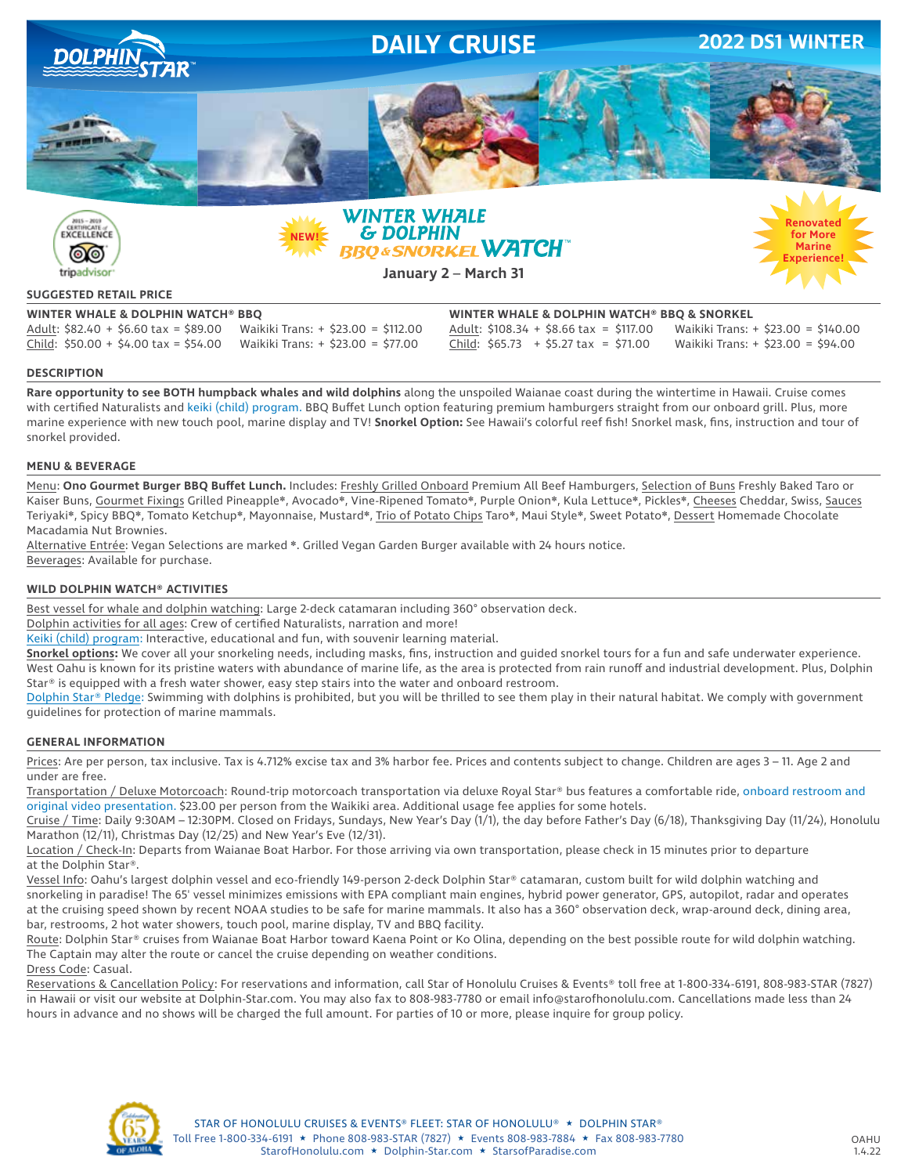

tripadvisor

**January 2** – **March 31**

# **Experience!**

## **SUGGESTED RETAIL PRICE**

**WINTER WHALE & DOLPHIN WATCH® BBQ WINTER WHALE & DOLPHIN WATCH® BBQ & SNORKEL** Adult: \$82.40 + \$6.60 tax = \$89.00 Waikiki Trans: + \$23.00 = \$112.00 Adult: \$108.34 + \$8.66 tax = \$117.00 Waikiki Trans: + \$23.00 = \$140.00 Child: \$50.00 + \$4.00 tax = \$54.00 Waikiki Trans: + \$23.00 = \$77.00 Child: \$65.73 + \$5.27 tax = \$71.00 Waikiki Trans: + \$23.00 = \$94.00

#### **DESCRIPTION**

**Rare opportunity to see BOTH humpback whales and wild dolphins** along the unspoiled Waianae coast during the wintertime in Hawaii. Cruise comes with certified Naturalists and keiki (child) program. BBQ Buffet Lunch option featuring premium hamburgers straight from our onboard grill. Plus, more marine experience with new touch pool, marine display and TV! **Snorkel Option:** See Hawaii's colorful reef fish! Snorkel mask, fins, instruction and tour of snorkel provided.

#### **MENU & BEVERAGE**

Menu: **Ono Gourmet Burger BBQ Buffet Lunch.** Includes: Freshly Grilled Onboard Premium All Beef Hamburgers, Selection of Buns Freshly Baked Taro or Kaiser Buns, Gourmet Fixings Grilled Pineapple❋, Avocado❋, Vine-Ripened Tomato❋, Purple Onion❋, Kula Lettuce❋, Pickles❋, Cheeses Cheddar, Swiss, Sauces Teriyaki<sup>∗</sup>, Spicy BBQ\*, Tomato Ketchup\*, Mayonnaise, Mustard\*, Trio of Potato Chips Taro\*, Maui Style\*, Sweet Potato\*, Dessert Homemade Chocolate Macadamia Nut Brownies.

Alternative Entrée: Vegan Selections are marked ❋. Grilled Vegan Garden Burger available with 24 hours notice. Beverages: Available for purchase.

#### **WILD DOLPHIN WATCH® ACTIVITIES**

Best vessel for whale and dolphin watching: Large 2-deck catamaran including 360° observation deck.

Dolphin activities for all ages: Crew of certified Naturalists, narration and more!

Keiki (child) program: Interactive, educational and fun, with souvenir learning material.

**Snorkel options:** We cover all your snorkeling needs, including masks, fins, instruction and guided snorkel tours for a fun and safe underwater experience. West Oahu is known for its pristine waters with abundance of marine life, as the area is protected from rain runoff and industrial development. Plus, Dolphin Star® is equipped with a fresh water shower, easy step stairs into the water and onboard restroom.

Dolphin Star® Pledge: Swimming with dolphins is prohibited, but you will be thrilled to see them play in their natural habitat. We comply with government guidelines for protection of marine mammals.

#### **GENERAL INFORMATION**

Prices: Are per person, tax inclusive. Tax is 4.712% excise tax and 3% harbor fee. Prices and contents subject to change. Children are ages 3 – 11. Age 2 and under are free.

Transportation / Deluxe Motorcoach: Round-trip motorcoach transportation via deluxe Royal Star® bus features a comfortable ride, onboard restroom and original video presentation. \$23.00 per person from the Waikiki area. Additional usage fee applies for some hotels.

Cruise / Time: Daily 9:30AM – 12:30PM. Closed on Fridays, Sundays, New Year's Day (1/1), the day before Father's Day (6/18), Thanksgiving Day (11/24), Honolulu Marathon (12/11), Christmas Day (12/25) and New Year's Eve (12/31).

Location / Check-In: Departs from Waianae Boat Harbor. For those arriving via own transportation, please check in 15 minutes prior to departure at the Dolphin Star®.

Vessel Info: Oahu's largest dolphin vessel and eco-friendly 149-person 2-deck Dolphin Star® catamaran, custom built for wild dolphin watching and snorkeling in paradise! The 65' vessel minimizes emissions with EPA compliant main engines, hybrid power generator, GPS, autopilot, radar and operates at the cruising speed shown by recent NOAA studies to be safe for marine mammals. It also has a 360° observation deck, wrap-around deck, dining area, bar, restrooms, 2 hot water showers, touch pool, marine display, TV and BBQ facility.

Route: Dolphin Star® cruises from Waianae Boat Harbor toward Kaena Point or Ko Olina, depending on the best possible route for wild dolphin watching. The Captain may alter the route or cancel the cruise depending on weather conditions.

Dress Code: Casual. Reservations & Cancellation Policy: For reservations and information, call Star of Honolulu Cruises & Events® toll free at 1-800-334-6191, 808-983-STAR (7827) in Hawaii or visit our website at Dolphin-Star.com. You may also fax to 808-983-7780 or email info@starofhonolulu.com. Cancellations made less than 24 hours in advance and no shows will be charged the full amount. For parties of 10 or more, please inquire for group policy.